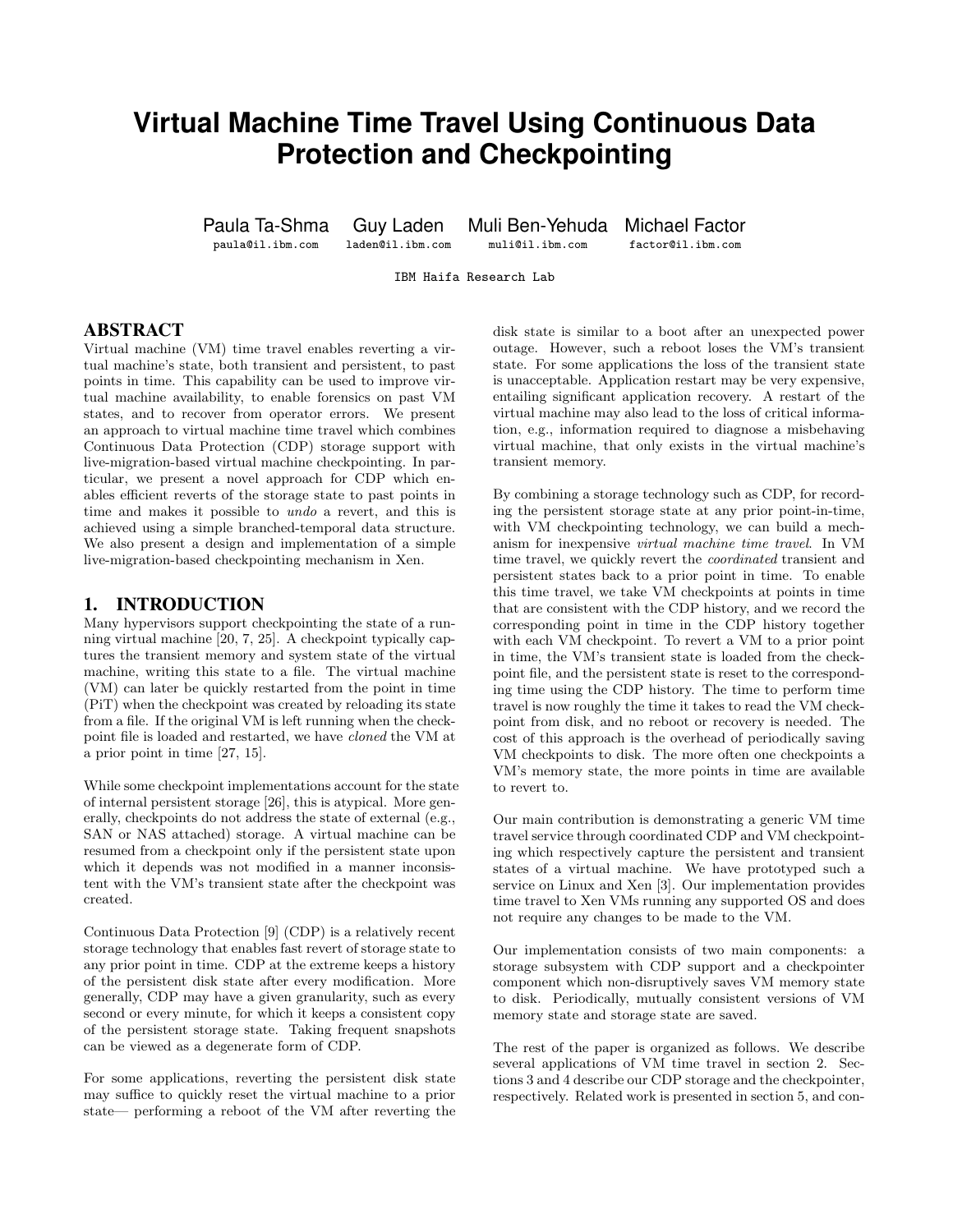# **Virtual Machine Time Travel Using Continuous Data Protection and Checkpointing**

paula@il.ibm.com

Paula Ta-Shma Guy Laden Muli Ben-Yehuda Michael Factor

IBM Haifa Research Lab

# ABSTRACT

Virtual machine (VM) time travel enables reverting a virtual machine's state, both transient and persistent, to past points in time. This capability can be used to improve virtual machine availability, to enable forensics on past VM states, and to recover from operator errors. We present an approach to virtual machine time travel which combines Continuous Data Protection (CDP) storage support with live-migration-based virtual machine checkpointing. In particular, we present a novel approach for CDP which enables efficient reverts of the storage state to past points in time and makes it possible to undo a revert, and this is achieved using a simple branched-temporal data structure. We also present a design and implementation of a simple live-migration-based checkpointing mechanism in Xen.

### 1. INTRODUCTION

Many hypervisors support checkpointing the state of a running virtual machine [20, 7, 25]. A checkpoint typically captures the transient memory and system state of the virtual machine, writing this state to a file. The virtual machine (VM) can later be quickly restarted from the point in time (PiT) when the checkpoint was created by reloading its state from a file. If the original VM is left running when the checkpoint file is loaded and restarted, we have cloned the VM at a prior point in time [27, 15].

While some checkpoint implementations account for the state of internal persistent storage [26], this is atypical. More generally, checkpoints do not address the state of external (e.g., SAN or NAS attached) storage. A virtual machine can be resumed from a checkpoint only if the persistent state upon which it depends was not modified in a manner inconsistent with the VM's transient state after the checkpoint was created.

Continuous Data Protection [9] (CDP) is a relatively recent storage technology that enables fast revert of storage state to any prior point in time. CDP at the extreme keeps a history of the persistent disk state after every modification. More generally, CDP may have a given granularity, such as every second or every minute, for which it keeps a consistent copy of the persistent storage state. Taking frequent snapshots can be viewed as a degenerate form of CDP.

For some applications, reverting the persistent disk state may suffice to quickly reset the virtual machine to a prior state— performing a reboot of the VM after reverting the

disk state is similar to a boot after an unexpected power outage. However, such a reboot loses the VM's transient state. For some applications the loss of the transient state is unacceptable. Application restart may be very expensive, entailing significant application recovery. A restart of the virtual machine may also lead to the loss of critical information, e.g., information required to diagnose a misbehaving virtual machine, that only exists in the virtual machine's transient memory.

By combining a storage technology such as CDP, for recording the persistent storage state at any prior point-in-time, with VM checkpointing technology, we can build a mechanism for inexpensive virtual machine time travel. In VM time travel, we quickly revert the coordinated transient and persistent states back to a prior point in time. To enable this time travel, we take VM checkpoints at points in time that are consistent with the CDP history, and we record the corresponding point in time in the CDP history together with each VM checkpoint. To revert a VM to a prior point in time, the VM's transient state is loaded from the checkpoint file, and the persistent state is reset to the corresponding time using the CDP history. The time to perform time travel is now roughly the time it takes to read the VM checkpoint from disk, and no reboot or recovery is needed. The cost of this approach is the overhead of periodically saving VM checkpoints to disk. The more often one checkpoints a VM's memory state, the more points in time are available to revert to.

Our main contribution is demonstrating a generic VM time travel service through coordinated CDP and VM checkpointing which respectively capture the persistent and transient states of a virtual machine. We have prototyped such a service on Linux and Xen [3]. Our implementation provides time travel to Xen VMs running any supported OS and does not require any changes to be made to the VM.

Our implementation consists of two main components: a storage subsystem with CDP support and a checkpointer component which non-disruptively saves VM memory state to disk. Periodically, mutually consistent versions of VM memory state and storage state are saved.

The rest of the paper is organized as follows. We describe several applications of VM time travel in section 2. Sections 3 and 4 describe our CDP storage and the checkpointer, respectively. Related work is presented in section 5, and con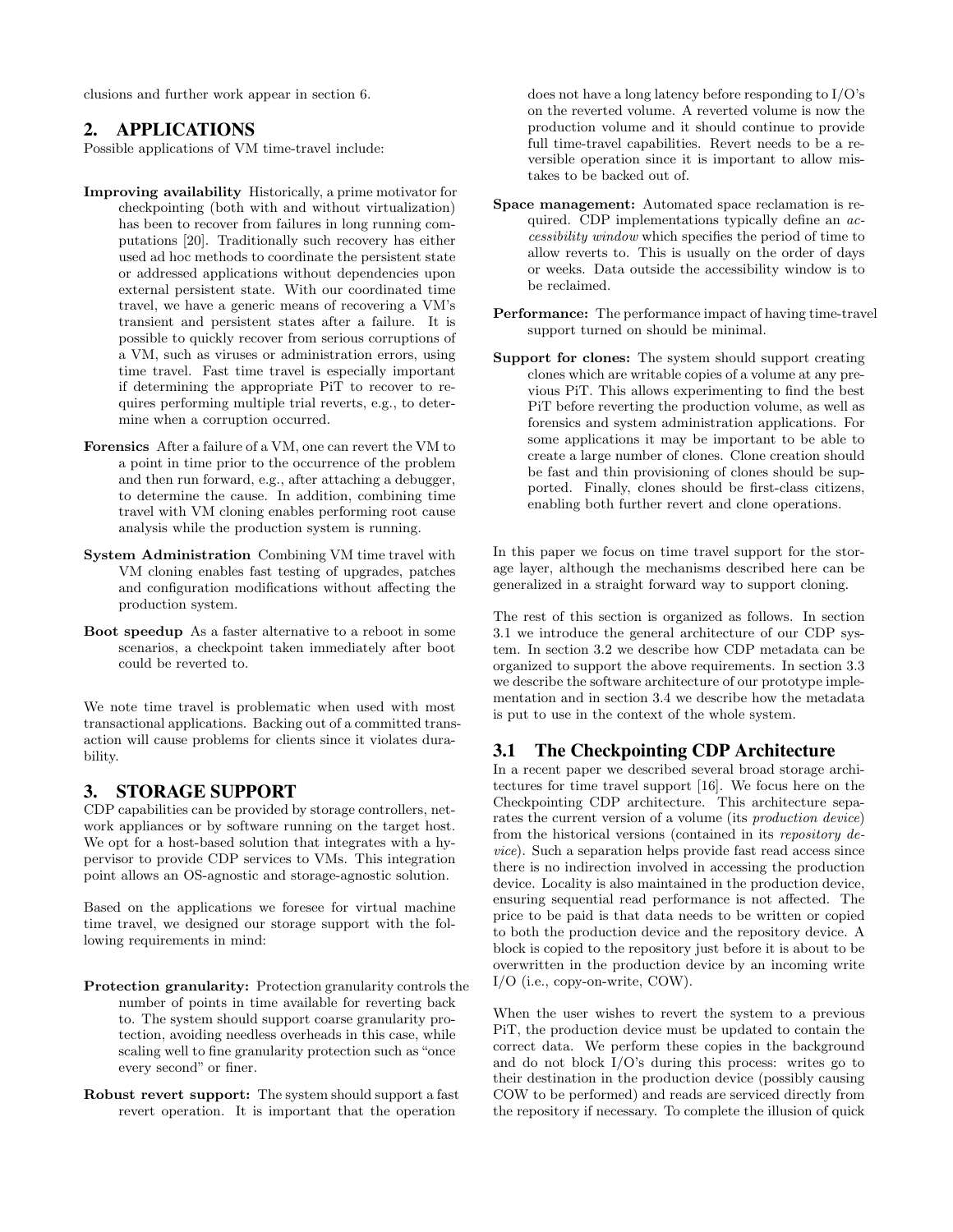clusions and further work appear in section 6.

### 2. APPLICATIONS

Possible applications of VM time-travel include:

- Improving availability Historically, a prime motivator for checkpointing (both with and without virtualization) has been to recover from failures in long running computations [20]. Traditionally such recovery has either used ad hoc methods to coordinate the persistent state or addressed applications without dependencies upon external persistent state. With our coordinated time travel, we have a generic means of recovering a VM's transient and persistent states after a failure. It is possible to quickly recover from serious corruptions of a VM, such as viruses or administration errors, using time travel. Fast time travel is especially important if determining the appropriate PiT to recover to requires performing multiple trial reverts, e.g., to determine when a corruption occurred.
- Forensics After a failure of a VM, one can revert the VM to a point in time prior to the occurrence of the problem and then run forward, e.g., after attaching a debugger, to determine the cause. In addition, combining time travel with VM cloning enables performing root cause analysis while the production system is running.
- System Administration Combining VM time travel with VM cloning enables fast testing of upgrades, patches and configuration modifications without affecting the production system.
- Boot speedup As a faster alternative to a reboot in some scenarios, a checkpoint taken immediately after boot could be reverted to.

We note time travel is problematic when used with most transactional applications. Backing out of a committed transaction will cause problems for clients since it violates durability.

# 3. STORAGE SUPPORT

CDP capabilities can be provided by storage controllers, network appliances or by software running on the target host. We opt for a host-based solution that integrates with a hypervisor to provide CDP services to VMs. This integration point allows an OS-agnostic and storage-agnostic solution.

Based on the applications we foresee for virtual machine time travel, we designed our storage support with the following requirements in mind:

- Protection granularity: Protection granularity controls the number of points in time available for reverting back to. The system should support coarse granularity protection, avoiding needless overheads in this case, while scaling well to fine granularity protection such as "once every second" or finer.
- Robust revert support: The system should support a fast revert operation. It is important that the operation

does not have a long latency before responding to I/O's on the reverted volume. A reverted volume is now the production volume and it should continue to provide full time-travel capabilities. Revert needs to be a reversible operation since it is important to allow mistakes to be backed out of.

- Space management: Automated space reclamation is required. CDP implementations typically define an accessibility window which specifies the period of time to allow reverts to. This is usually on the order of days or weeks. Data outside the accessibility window is to be reclaimed.
- Performance: The performance impact of having time-travel support turned on should be minimal.
- Support for clones: The system should support creating clones which are writable copies of a volume at any previous PiT. This allows experimenting to find the best PiT before reverting the production volume, as well as forensics and system administration applications. For some applications it may be important to be able to create a large number of clones. Clone creation should be fast and thin provisioning of clones should be supported. Finally, clones should be first-class citizens, enabling both further revert and clone operations.

In this paper we focus on time travel support for the storage layer, although the mechanisms described here can be generalized in a straight forward way to support cloning.

The rest of this section is organized as follows. In section 3.1 we introduce the general architecture of our CDP system. In section 3.2 we describe how CDP metadata can be organized to support the above requirements. In section 3.3 we describe the software architecture of our prototype implementation and in section 3.4 we describe how the metadata is put to use in the context of the whole system.

# 3.1 The Checkpointing CDP Architecture

In a recent paper we described several broad storage architectures for time travel support [16]. We focus here on the Checkpointing CDP architecture. This architecture separates the current version of a volume (its production device) from the historical versions (contained in its repository device). Such a separation helps provide fast read access since there is no indirection involved in accessing the production device. Locality is also maintained in the production device, ensuring sequential read performance is not affected. The price to be paid is that data needs to be written or copied to both the production device and the repository device. A block is copied to the repository just before it is about to be overwritten in the production device by an incoming write I/O (i.e., copy-on-write, COW).

When the user wishes to revert the system to a previous PiT, the production device must be updated to contain the correct data. We perform these copies in the background and do not block I/O's during this process: writes go to their destination in the production device (possibly causing COW to be performed) and reads are serviced directly from the repository if necessary. To complete the illusion of quick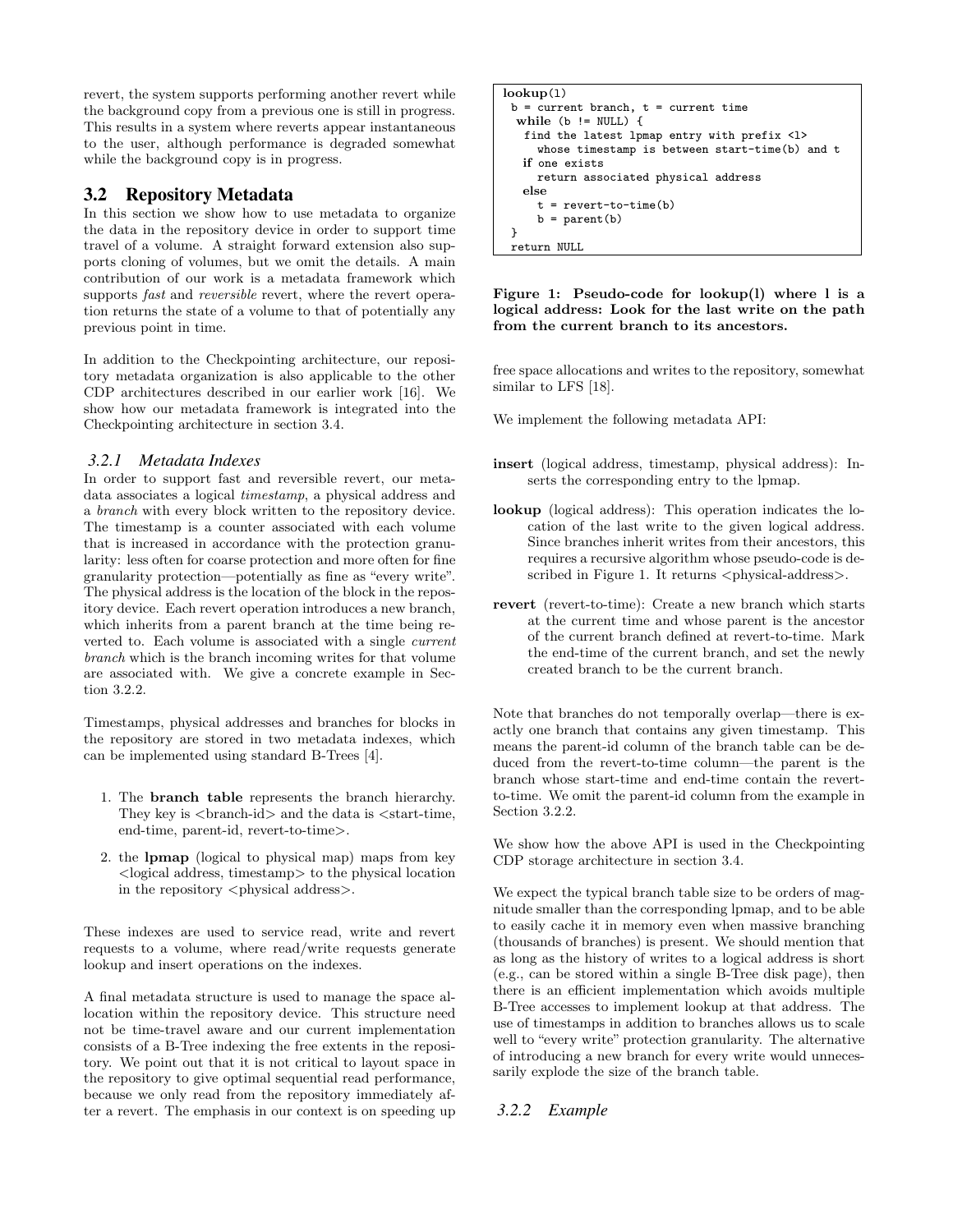revert, the system supports performing another revert while the background copy from a previous one is still in progress. This results in a system where reverts appear instantaneous to the user, although performance is degraded somewhat while the background copy is in progress.

# 3.2 Repository Metadata

In this section we show how to use metadata to organize the data in the repository device in order to support time travel of a volume. A straight forward extension also supports cloning of volumes, but we omit the details. A main contribution of our work is a metadata framework which supports *fast* and *reversible* revert, where the revert operation returns the state of a volume to that of potentially any previous point in time.

In addition to the Checkpointing architecture, our repository metadata organization is also applicable to the other CDP architectures described in our earlier work [16]. We show how our metadata framework is integrated into the Checkpointing architecture in section 3.4.

### *3.2.1 Metadata Indexes*

In order to support fast and reversible revert, our metadata associates a logical timestamp, a physical address and a branch with every block written to the repository device. The timestamp is a counter associated with each volume that is increased in accordance with the protection granularity: less often for coarse protection and more often for fine granularity protection—potentially as fine as "every write". The physical address is the location of the block in the repository device. Each revert operation introduces a new branch, which inherits from a parent branch at the time being reverted to. Each volume is associated with a single current branch which is the branch incoming writes for that volume are associated with. We give a concrete example in Section 3.2.2.

Timestamps, physical addresses and branches for blocks in the repository are stored in two metadata indexes, which can be implemented using standard B-Trees [4].

- 1. The branch table represents the branch hierarchy. They key is  $\langle$ branch-id $\rangle$  and the data is  $\langle$ start-time, end-time, parent-id, revert-to-time>.
- 2. the lpmap (logical to physical map) maps from key <logical address, timestamp> to the physical location in the repository  $\langle$  physical address $\rangle$ .

These indexes are used to service read, write and revert requests to a volume, where read/write requests generate lookup and insert operations on the indexes.

A final metadata structure is used to manage the space allocation within the repository device. This structure need not be time-travel aware and our current implementation consists of a B-Tree indexing the free extents in the repository. We point out that it is not critical to layout space in the repository to give optimal sequential read performance, because we only read from the repository immediately after a revert. The emphasis in our context is on speeding up

```
\text{lookup}(1)b = current branch, t = current timewhile (b \neq \text{NULL}) {
  find the latest lpmap entry with prefix <l>
    whose timestamp is between start-time(b) and t
  if one exists
    return associated physical address
  else
    t = \text{revert-to-time}(b)b = parent(b)}
return NULL
```
Figure 1: Pseudo-code for lookup(l) where l is a logical address: Look for the last write on the path from the current branch to its ancestors.

free space allocations and writes to the repository, somewhat similar to LFS [18].

We implement the following metadata API:

- insert (logical address, timestamp, physical address): Inserts the corresponding entry to the lpmap.
- lookup (logical address): This operation indicates the location of the last write to the given logical address. Since branches inherit writes from their ancestors, this requires a recursive algorithm whose pseudo-code is described in Figure 1. It returns  $\langle$ physical-address $\rangle$ .
- revert (revert-to-time): Create a new branch which starts at the current time and whose parent is the ancestor of the current branch defined at revert-to-time. Mark the end-time of the current branch, and set the newly created branch to be the current branch.

Note that branches do not temporally overlap—there is exactly one branch that contains any given timestamp. This means the parent-id column of the branch table can be deduced from the revert-to-time column—the parent is the branch whose start-time and end-time contain the revertto-time. We omit the parent-id column from the example in Section 3.2.2.

We show how the above API is used in the Checkpointing CDP storage architecture in section 3.4.

We expect the typical branch table size to be orders of magnitude smaller than the corresponding lpmap, and to be able to easily cache it in memory even when massive branching (thousands of branches) is present. We should mention that as long as the history of writes to a logical address is short (e.g., can be stored within a single B-Tree disk page), then there is an efficient implementation which avoids multiple B-Tree accesses to implement lookup at that address. The use of timestamps in addition to branches allows us to scale well to "every write" protection granularity. The alternative of introducing a new branch for every write would unnecessarily explode the size of the branch table.

*3.2.2 Example*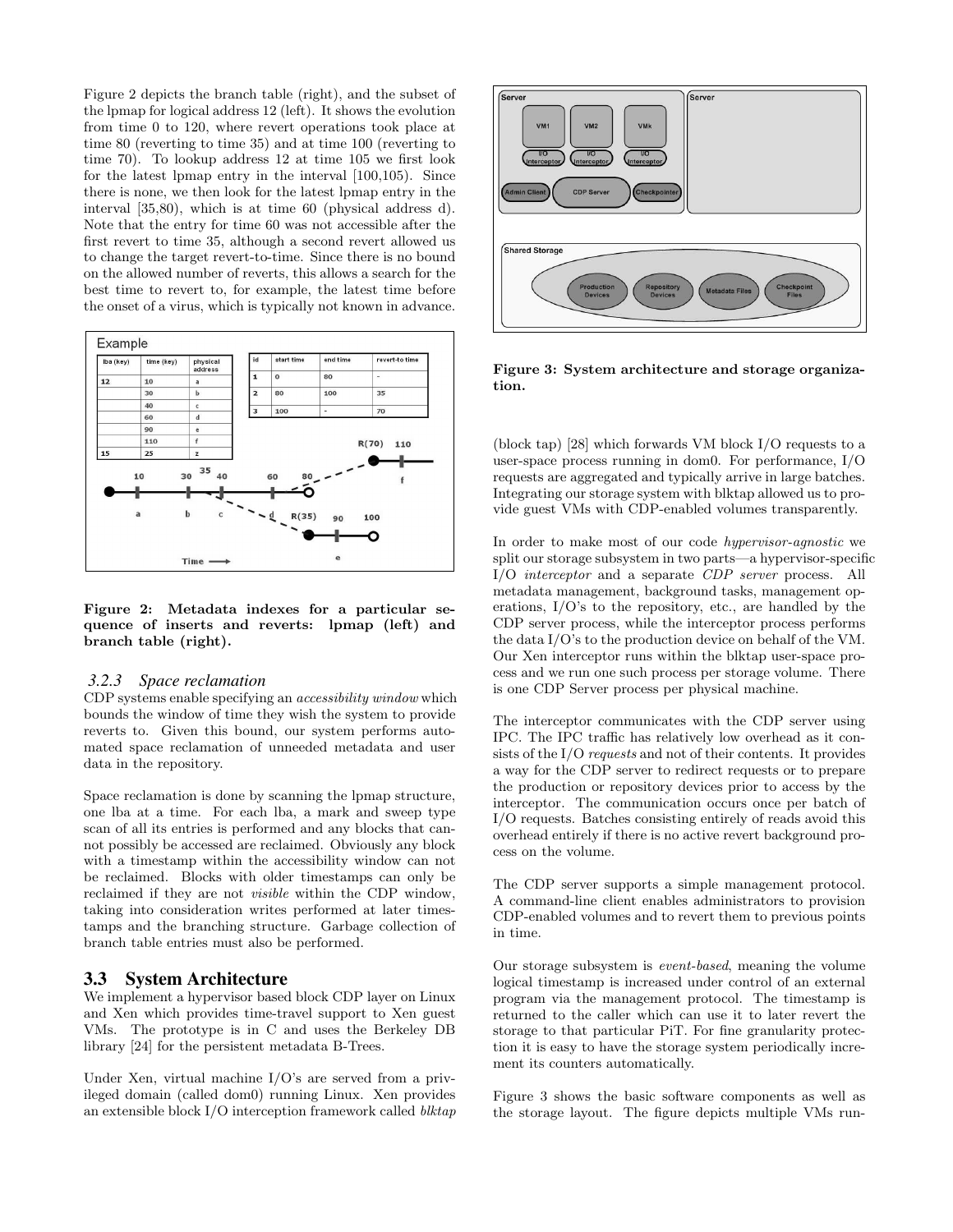Figure 2 depicts the branch table (right), and the subset of the lpmap for logical address 12 (left). It shows the evolution from time 0 to 120, where revert operations took place at time 80 (reverting to time 35) and at time 100 (reverting to time 70). To lookup address 12 at time 105 we first look for the latest lpmap entry in the interval [100,105). Since there is none, we then look for the latest lpmap entry in the interval [35,80), which is at time 60 (physical address d). Note that the entry for time 60 was not accessible after the first revert to time 35, although a second revert allowed us to change the target revert-to-time. Since there is no bound on the allowed number of reverts, this allows a search for the best time to revert to, for example, the latest time before the onset of a virus, which is typically not known in advance.



Figure 2: Metadata indexes for a particular sequence of inserts and reverts: lpmap (left) and branch table (right).

#### *3.2.3 Space reclamation*

CDP systems enable specifying an accessibility window which bounds the window of time they wish the system to provide reverts to. Given this bound, our system performs automated space reclamation of unneeded metadata and user data in the repository.

Space reclamation is done by scanning the lpmap structure, one lba at a time. For each lba, a mark and sweep type scan of all its entries is performed and any blocks that cannot possibly be accessed are reclaimed. Obviously any block with a timestamp within the accessibility window can not be reclaimed. Blocks with older timestamps can only be reclaimed if they are not visible within the CDP window, taking into consideration writes performed at later timestamps and the branching structure. Garbage collection of branch table entries must also be performed.

### 3.3 System Architecture

We implement a hypervisor based block CDP layer on Linux and Xen which provides time-travel support to Xen guest VMs. The prototype is in C and uses the Berkeley DB library [24] for the persistent metadata B-Trees.

Under Xen, virtual machine I/O's are served from a privileged domain (called dom0) running Linux. Xen provides an extensible block I/O interception framework called blktap



Figure 3: System architecture and storage organization.

(block tap) [28] which forwards VM block I/O requests to a user-space process running in dom0. For performance, I/O requests are aggregated and typically arrive in large batches. Integrating our storage system with blktap allowed us to provide guest VMs with CDP-enabled volumes transparently.

In order to make most of our code hypervisor-agnostic we split our storage subsystem in two parts—a hypervisor-specific I/O interceptor and a separate CDP server process. All metadata management, background tasks, management operations, I/O's to the repository, etc., are handled by the CDP server process, while the interceptor process performs the data I/O's to the production device on behalf of the VM. Our Xen interceptor runs within the blktap user-space process and we run one such process per storage volume. There is one CDP Server process per physical machine.

The interceptor communicates with the CDP server using IPC. The IPC traffic has relatively low overhead as it consists of the I/O requests and not of their contents. It provides a way for the CDP server to redirect requests or to prepare the production or repository devices prior to access by the interceptor. The communication occurs once per batch of I/O requests. Batches consisting entirely of reads avoid this overhead entirely if there is no active revert background process on the volume.

The CDP server supports a simple management protocol. A command-line client enables administrators to provision CDP-enabled volumes and to revert them to previous points in time.

Our storage subsystem is event-based, meaning the volume logical timestamp is increased under control of an external program via the management protocol. The timestamp is returned to the caller which can use it to later revert the storage to that particular PiT. For fine granularity protection it is easy to have the storage system periodically increment its counters automatically.

Figure 3 shows the basic software components as well as the storage layout. The figure depicts multiple VMs run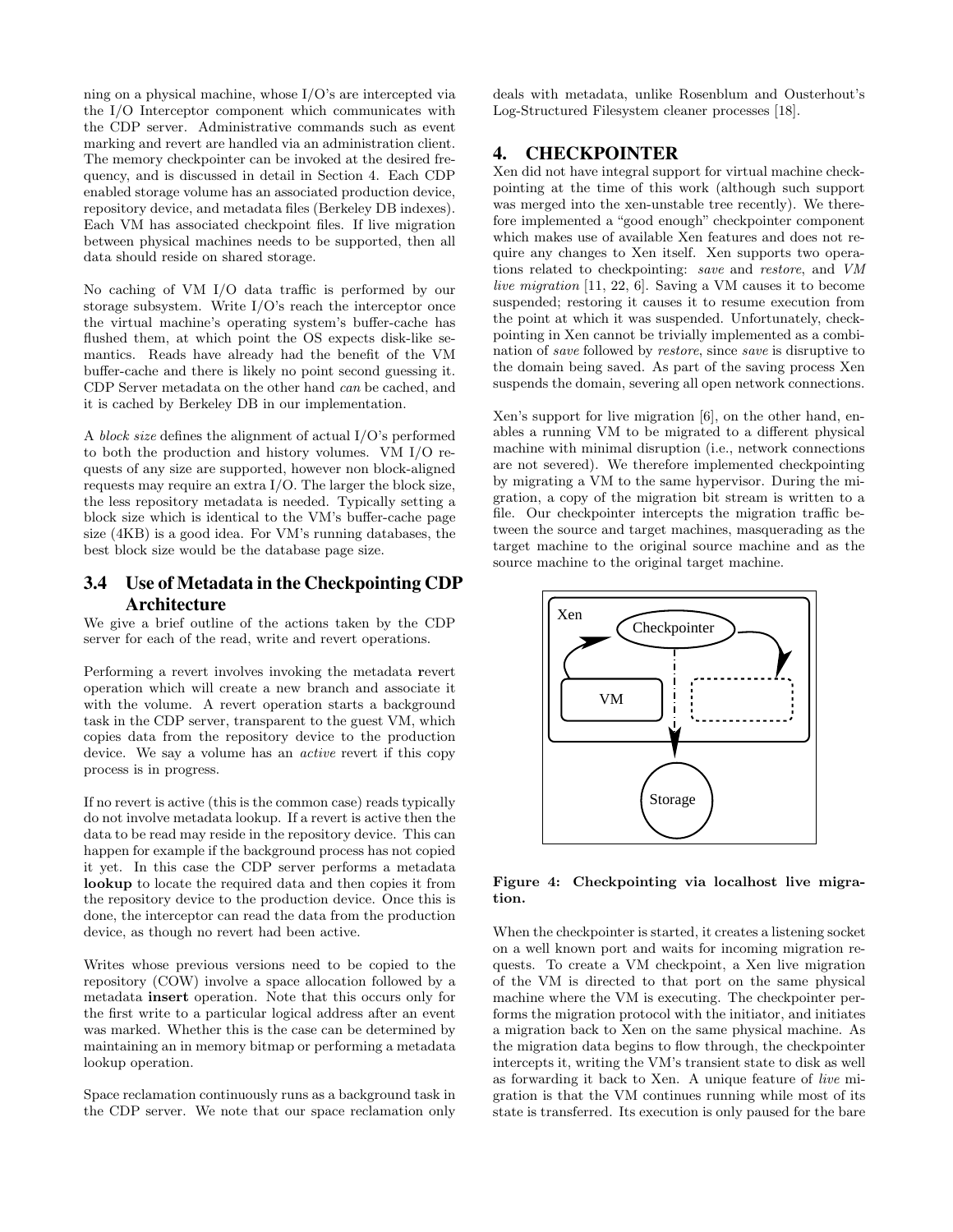ning on a physical machine, whose I/O's are intercepted via the I/O Interceptor component which communicates with the CDP server. Administrative commands such as event marking and revert are handled via an administration client. The memory checkpointer can be invoked at the desired frequency, and is discussed in detail in Section 4. Each CDP enabled storage volume has an associated production device, repository device, and metadata files (Berkeley DB indexes). Each VM has associated checkpoint files. If live migration between physical machines needs to be supported, then all data should reside on shared storage.

No caching of VM I/O data traffic is performed by our storage subsystem. Write I/O's reach the interceptor once the virtual machine's operating system's buffer-cache has flushed them, at which point the OS expects disk-like semantics. Reads have already had the benefit of the VM buffer-cache and there is likely no point second guessing it. CDP Server metadata on the other hand can be cached, and it is cached by Berkeley DB in our implementation.

A block size defines the alignment of actual I/O's performed to both the production and history volumes. VM I/O requests of any size are supported, however non block-aligned requests may require an extra I/O. The larger the block size, the less repository metadata is needed. Typically setting a block size which is identical to the VM's buffer-cache page size (4KB) is a good idea. For VM's running databases, the best block size would be the database page size.

# 3.4 Use of Metadata in the Checkpointing CDP Architecture

We give a brief outline of the actions taken by the CDP server for each of the read, write and revert operations.

Performing a revert involves invoking the metadata revert operation which will create a new branch and associate it with the volume. A revert operation starts a background task in the CDP server, transparent to the guest VM, which copies data from the repository device to the production device. We say a volume has an active revert if this copy process is in progress.

If no revert is active (this is the common case) reads typically do not involve metadata lookup. If a revert is active then the data to be read may reside in the repository device. This can happen for example if the background process has not copied it yet. In this case the CDP server performs a metadata lookup to locate the required data and then copies it from the repository device to the production device. Once this is done, the interceptor can read the data from the production device, as though no revert had been active.

Writes whose previous versions need to be copied to the repository (COW) involve a space allocation followed by a metadata insert operation. Note that this occurs only for the first write to a particular logical address after an event was marked. Whether this is the case can be determined by maintaining an in memory bitmap or performing a metadata lookup operation.

Space reclamation continuously runs as a background task in the CDP server. We note that our space reclamation only

deals with metadata, unlike Rosenblum and Ousterhout's Log-Structured Filesystem cleaner processes [18].

# 4. CHECKPOINTER

Xen did not have integral support for virtual machine checkpointing at the time of this work (although such support was merged into the xen-unstable tree recently). We therefore implemented a "good enough" checkpointer component which makes use of available Xen features and does not require any changes to Xen itself. Xen supports two operations related to checkpointing: save and restore, and VM live migration [11, 22, 6]. Saving a VM causes it to become suspended; restoring it causes it to resume execution from the point at which it was suspended. Unfortunately, checkpointing in Xen cannot be trivially implemented as a combination of save followed by restore, since save is disruptive to the domain being saved. As part of the saving process Xen suspends the domain, severing all open network connections.

Xen's support for live migration [6], on the other hand, enables a running VM to be migrated to a different physical machine with minimal disruption (i.e., network connections are not severed). We therefore implemented checkpointing by migrating a VM to the same hypervisor. During the migration, a copy of the migration bit stream is written to a file. Our checkpointer intercepts the migration traffic between the source and target machines, masquerading as the target machine to the original source machine and as the source machine to the original target machine.



Figure 4: Checkpointing via localhost live migration.

When the checkpointer is started, it creates a listening socket on a well known port and waits for incoming migration requests. To create a VM checkpoint, a Xen live migration of the VM is directed to that port on the same physical machine where the VM is executing. The checkpointer performs the migration protocol with the initiator, and initiates a migration back to Xen on the same physical machine. As the migration data begins to flow through, the checkpointer intercepts it, writing the VM's transient state to disk as well as forwarding it back to Xen. A unique feature of live migration is that the VM continues running while most of its state is transferred. Its execution is only paused for the bare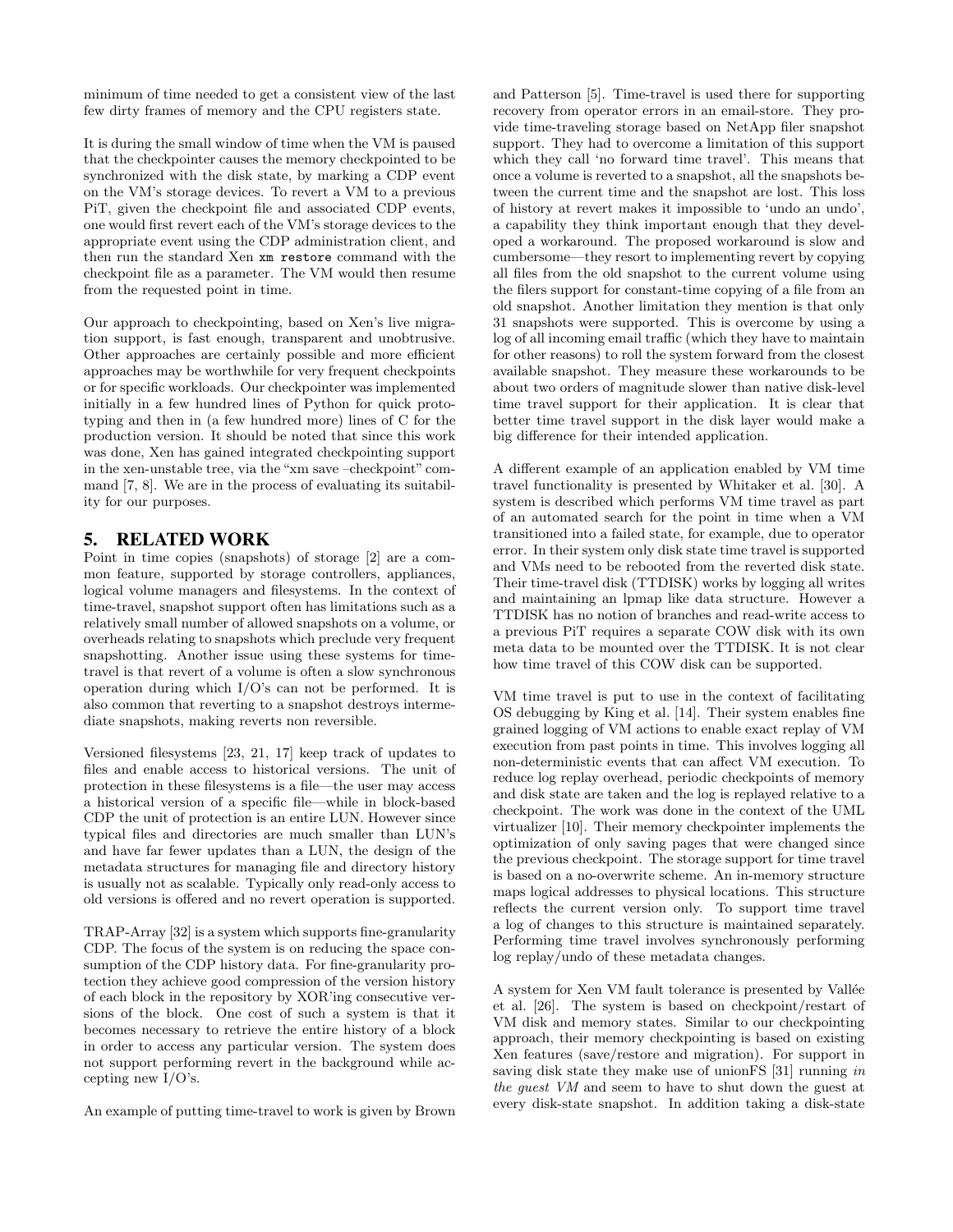minimum of time needed to get a consistent view of the last few dirty frames of memory and the CPU registers state.

It is during the small window of time when the VM is paused that the checkpointer causes the memory checkpointed to be synchronized with the disk state, by marking a CDP event on the VM's storage devices. To revert a VM to a previous PiT, given the checkpoint file and associated CDP events, one would first revert each of the VM's storage devices to the appropriate event using the CDP administration client, and then run the standard Xen xm restore command with the checkpoint file as a parameter. The VM would then resume from the requested point in time.

Our approach to checkpointing, based on Xen's live migration support, is fast enough, transparent and unobtrusive. Other approaches are certainly possible and more efficient approaches may be worthwhile for very frequent checkpoints or for specific workloads. Our checkpointer was implemented initially in a few hundred lines of Python for quick prototyping and then in (a few hundred more) lines of C for the production version. It should be noted that since this work was done, Xen has gained integrated checkpointing support in the xen-unstable tree, via the "xm save –checkpoint" command [7, 8]. We are in the process of evaluating its suitability for our purposes.

# 5. RELATED WORK

Point in time copies (snapshots) of storage [2] are a common feature, supported by storage controllers, appliances, logical volume managers and filesystems. In the context of time-travel, snapshot support often has limitations such as a relatively small number of allowed snapshots on a volume, or overheads relating to snapshots which preclude very frequent snapshotting. Another issue using these systems for timetravel is that revert of a volume is often a slow synchronous operation during which I/O's can not be performed. It is also common that reverting to a snapshot destroys intermediate snapshots, making reverts non reversible.

Versioned filesystems [23, 21, 17] keep track of updates to files and enable access to historical versions. The unit of protection in these filesystems is a file—the user may access a historical version of a specific file—while in block-based CDP the unit of protection is an entire LUN. However since typical files and directories are much smaller than LUN's and have far fewer updates than a LUN, the design of the metadata structures for managing file and directory history is usually not as scalable. Typically only read-only access to old versions is offered and no revert operation is supported.

TRAP-Array [32] is a system which supports fine-granularity CDP. The focus of the system is on reducing the space consumption of the CDP history data. For fine-granularity protection they achieve good compression of the version history of each block in the repository by XOR'ing consecutive versions of the block. One cost of such a system is that it becomes necessary to retrieve the entire history of a block in order to access any particular version. The system does not support performing revert in the background while accepting new  $I/O$ 's.

An example of putting time-travel to work is given by Brown

and Patterson [5]. Time-travel is used there for supporting recovery from operator errors in an email-store. They provide time-traveling storage based on NetApp filer snapshot support. They had to overcome a limitation of this support which they call 'no forward time travel'. This means that once a volume is reverted to a snapshot, all the snapshots between the current time and the snapshot are lost. This loss of history at revert makes it impossible to 'undo an undo', a capability they think important enough that they developed a workaround. The proposed workaround is slow and cumbersome—they resort to implementing revert by copying all files from the old snapshot to the current volume using the filers support for constant-time copying of a file from an old snapshot. Another limitation they mention is that only 31 snapshots were supported. This is overcome by using a log of all incoming email traffic (which they have to maintain for other reasons) to roll the system forward from the closest available snapshot. They measure these workarounds to be about two orders of magnitude slower than native disk-level time travel support for their application. It is clear that better time travel support in the disk layer would make a big difference for their intended application.

A different example of an application enabled by VM time travel functionality is presented by Whitaker et al. [30]. A system is described which performs VM time travel as part of an automated search for the point in time when a VM transitioned into a failed state, for example, due to operator error. In their system only disk state time travel is supported and VMs need to be rebooted from the reverted disk state. Their time-travel disk (TTDISK) works by logging all writes and maintaining an lpmap like data structure. However a TTDISK has no notion of branches and read-write access to a previous PiT requires a separate COW disk with its own meta data to be mounted over the TTDISK. It is not clear how time travel of this COW disk can be supported.

VM time travel is put to use in the context of facilitating OS debugging by King et al. [14]. Their system enables fine grained logging of VM actions to enable exact replay of VM execution from past points in time. This involves logging all non-deterministic events that can affect VM execution. To reduce log replay overhead, periodic checkpoints of memory and disk state are taken and the log is replayed relative to a checkpoint. The work was done in the context of the UML virtualizer [10]. Their memory checkpointer implements the optimization of only saving pages that were changed since the previous checkpoint. The storage support for time travel is based on a no-overwrite scheme. An in-memory structure maps logical addresses to physical locations. This structure reflects the current version only. To support time travel a log of changes to this structure is maintained separately. Performing time travel involves synchronously performing log replay/undo of these metadata changes.

A system for Xen VM fault tolerance is presented by Vallée et al. [26]. The system is based on checkpoint/restart of VM disk and memory states. Similar to our checkpointing approach, their memory checkpointing is based on existing Xen features (save/restore and migration). For support in saving disk state they make use of unionFS [31] running in the guest VM and seem to have to shut down the guest at every disk-state snapshot. In addition taking a disk-state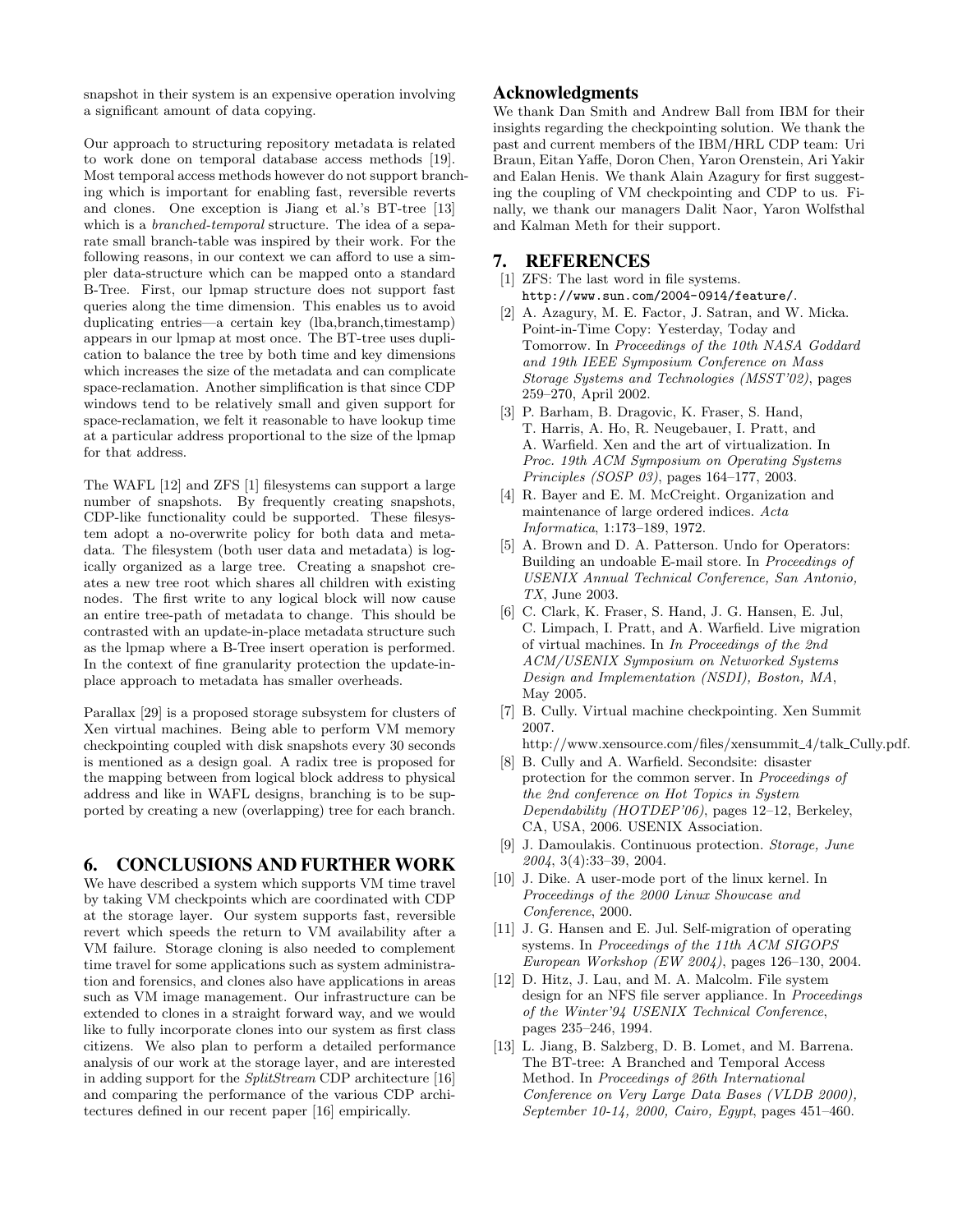snapshot in their system is an expensive operation involving a significant amount of data copying.

Our approach to structuring repository metadata is related to work done on temporal database access methods [19]. Most temporal access methods however do not support branching which is important for enabling fast, reversible reverts and clones. One exception is Jiang et al.'s BT-tree [13] which is a *branched-temporal* structure. The idea of a separate small branch-table was inspired by their work. For the following reasons, in our context we can afford to use a simpler data-structure which can be mapped onto a standard B-Tree. First, our lpmap structure does not support fast queries along the time dimension. This enables us to avoid duplicating entries—a certain key (lba,branch,timestamp) appears in our lpmap at most once. The BT-tree uses duplication to balance the tree by both time and key dimensions which increases the size of the metadata and can complicate space-reclamation. Another simplification is that since CDP windows tend to be relatively small and given support for space-reclamation, we felt it reasonable to have lookup time at a particular address proportional to the size of the lpmap for that address.

The WAFL [12] and ZFS [1] filesystems can support a large number of snapshots. By frequently creating snapshots, CDP-like functionality could be supported. These filesystem adopt a no-overwrite policy for both data and metadata. The filesystem (both user data and metadata) is logically organized as a large tree. Creating a snapshot creates a new tree root which shares all children with existing nodes. The first write to any logical block will now cause an entire tree-path of metadata to change. This should be contrasted with an update-in-place metadata structure such as the lpmap where a B-Tree insert operation is performed. In the context of fine granularity protection the update-inplace approach to metadata has smaller overheads.

Parallax [29] is a proposed storage subsystem for clusters of Xen virtual machines. Being able to perform VM memory checkpointing coupled with disk snapshots every 30 seconds is mentioned as a design goal. A radix tree is proposed for the mapping between from logical block address to physical address and like in WAFL designs, branching is to be supported by creating a new (overlapping) tree for each branch.

### 6. CONCLUSIONS AND FURTHER WORK

We have described a system which supports VM time travel by taking VM checkpoints which are coordinated with CDP at the storage layer. Our system supports fast, reversible revert which speeds the return to VM availability after a VM failure. Storage cloning is also needed to complement time travel for some applications such as system administration and forensics, and clones also have applications in areas such as VM image management. Our infrastructure can be extended to clones in a straight forward way, and we would like to fully incorporate clones into our system as first class citizens. We also plan to perform a detailed performance analysis of our work at the storage layer, and are interested in adding support for the SplitStream CDP architecture [16] and comparing the performance of the various CDP architectures defined in our recent paper [16] empirically.

## Acknowledgments

We thank Dan Smith and Andrew Ball from IBM for their insights regarding the checkpointing solution. We thank the past and current members of the IBM/HRL CDP team: Uri Braun, Eitan Yaffe, Doron Chen, Yaron Orenstein, Ari Yakir and Ealan Henis. We thank Alain Azagury for first suggesting the coupling of VM checkpointing and CDP to us. Finally, we thank our managers Dalit Naor, Yaron Wolfsthal and Kalman Meth for their support.

### 7. REFERENCES

- [1] ZFS: The last word in file systems. http://www.sun.com/2004-0914/feature/.
- [2] A. Azagury, M. E. Factor, J. Satran, and W. Micka. Point-in-Time Copy: Yesterday, Today and Tomorrow. In Proceedings of the 10th NASA Goddard and 19th IEEE Symposium Conference on Mass Storage Systems and Technologies (MSST'02), pages 259–270, April 2002.
- [3] P. Barham, B. Dragovic, K. Fraser, S. Hand, T. Harris, A. Ho, R. Neugebauer, I. Pratt, and A. Warfield. Xen and the art of virtualization. In Proc. 19th ACM Symposium on Operating Systems Principles (SOSP 03), pages 164–177, 2003.
- [4] R. Bayer and E. M. McCreight. Organization and maintenance of large ordered indices. Acta Informatica, 1:173–189, 1972.
- [5] A. Brown and D. A. Patterson. Undo for Operators: Building an undoable E-mail store. In Proceedings of USENIX Annual Technical Conference, San Antonio, TX, June 2003.
- [6] C. Clark, K. Fraser, S. Hand, J. G. Hansen, E. Jul, C. Limpach, I. Pratt, and A. Warfield. Live migration of virtual machines. In In Proceedings of the 2nd ACM/USENIX Symposium on Networked Systems Design and Implementation (NSDI), Boston, MA, May 2005.
- [7] B. Cully. Virtual machine checkpointing. Xen Summit 2007.
	- http://www.xensource.com/files/xensummit 4/talk Cully.pdf.
- [8] B. Cully and A. Warfield. Secondsite: disaster protection for the common server. In Proceedings of the 2nd conference on Hot Topics in System Dependability (HOTDEP'06), pages 12–12, Berkeley, CA, USA, 2006. USENIX Association.
- [9] J. Damoulakis. Continuous protection. Storage, June 2004, 3(4):33–39, 2004.
- [10] J. Dike. A user-mode port of the linux kernel. In Proceedings of the 2000 Linux Showcase and Conference, 2000.
- [11] J. G. Hansen and E. Jul. Self-migration of operating systems. In Proceedings of the 11th ACM SIGOPS European Workshop (EW  $2004$ ), pages 126-130, 2004.
- [12] D. Hitz, J. Lau, and M. A. Malcolm. File system design for an NFS file server appliance. In Proceedings of the Winter'94 USENIX Technical Conference, pages 235–246, 1994.
- [13] L. Jiang, B. Salzberg, D. B. Lomet, and M. Barrena. The BT-tree: A Branched and Temporal Access Method. In Proceedings of 26th International Conference on Very Large Data Bases (VLDB 2000), September 10-14, 2000, Cairo, Egypt, pages 451–460.